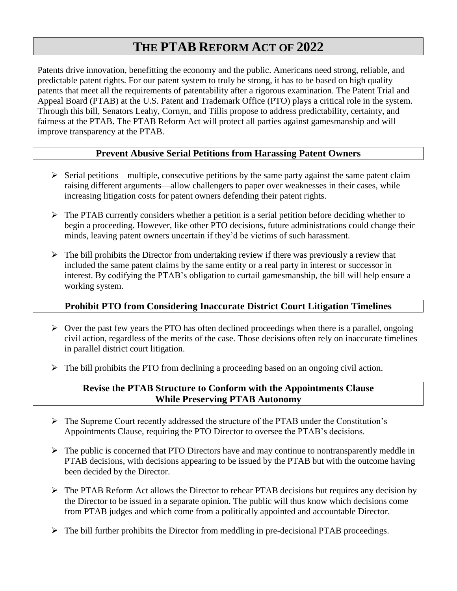# **THE PTAB REFORM ACT OF 2022**

Patents drive innovation, benefitting the economy and the public. Americans need strong, reliable, and predictable patent rights. For our patent system to truly be strong, it has to be based on high quality patents that meet all the requirements of patentability after a rigorous examination. The Patent Trial and Appeal Board (PTAB) at the U.S. Patent and Trademark Office (PTO) plays a critical role in the system. Through this bill, Senators Leahy, Cornyn, and Tillis propose to address predictability, certainty, and fairness at the PTAB. The PTAB Reform Act will protect all parties against gamesmanship and will improve transparency at the PTAB.

## **Prevent Abusive Serial Petitions from Harassing Patent Owners**

- $\triangleright$  Serial petitions—multiple, consecutive petitions by the same party against the same patent claim raising different arguments—allow challengers to paper over weaknesses in their cases, while increasing litigation costs for patent owners defending their patent rights.
- $\triangleright$  The PTAB currently considers whether a petition is a serial petition before deciding whether to begin a proceeding. However, like other PTO decisions, future administrations could change their minds, leaving patent owners uncertain if they'd be victims of such harassment.
- $\triangleright$  The bill prohibits the Director from undertaking review if there was previously a review that included the same patent claims by the same entity or a real party in interest or successor in interest. By codifying the PTAB's obligation to curtail gamesmanship, the bill will help ensure a working system.

## **Prohibit PTO from Considering Inaccurate District Court Litigation Timelines**

- $\triangleright$  Over the past few years the PTO has often declined proceedings when there is a parallel, ongoing civil action, regardless of the merits of the case. Those decisions often rely on inaccurate timelines in parallel district court litigation.
- $\triangleright$  The bill prohibits the PTO from declining a proceeding based on an ongoing civil action.

#### **Revise the PTAB Structure to Conform with the Appointments Clause While Preserving PTAB Autonomy**

- $\triangleright$  The Supreme Court recently addressed the structure of the PTAB under the Constitution's Appointments Clause, requiring the PTO Director to oversee the PTAB's decisions.
- $\triangleright$  The public is concerned that PTO Directors have and may continue to nontransparently meddle in PTAB decisions, with decisions appearing to be issued by the PTAB but with the outcome having been decided by the Director.
- $\triangleright$  The PTAB Reform Act allows the Director to rehear PTAB decisions but requires any decision by the Director to be issued in a separate opinion. The public will thus know which decisions come from PTAB judges and which come from a politically appointed and accountable Director.
- The bill further prohibits the Director from meddling in pre-decisional PTAB proceedings.